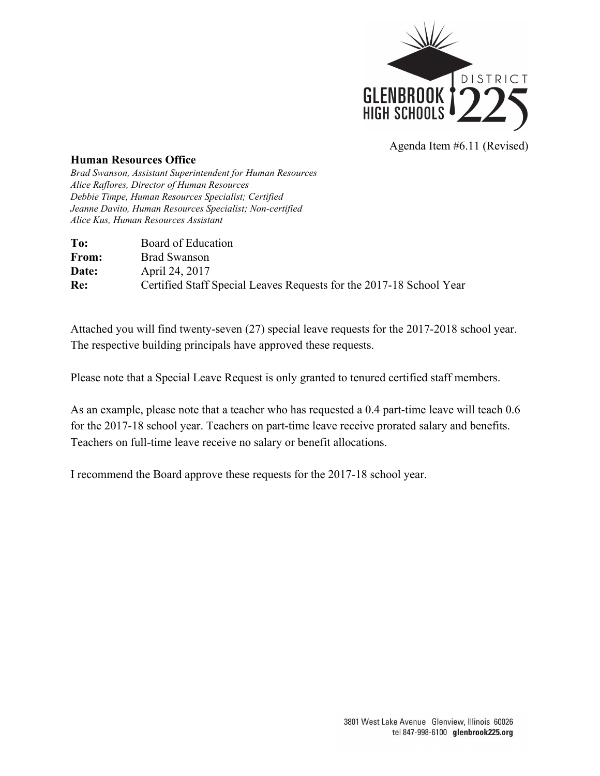

Agenda Item #6.11 (Revised)

## **Human Resources Office**

*Brad Swanson, Assistant Superintendent for Human Resources Alice Raflores, Director of Human Resources Debbie Timpe, Human Resources Specialist; Certified Jeanne Davito, Human Resources Specialist; Non-certified Alice Kus, Human Resources Assistant*

| To:   | Board of Education                                                  |
|-------|---------------------------------------------------------------------|
| From: | <b>Brad Swanson</b>                                                 |
| Date: | April 24, 2017                                                      |
| Re:   | Certified Staff Special Leaves Requests for the 2017-18 School Year |

Attached you will find twenty-seven (27) special leave requests for the 2017-2018 school year. The respective building principals have approved these requests.

Please note that a Special Leave Request is only granted to tenured certified staff members.

As an example, please note that a teacher who has requested a 0.4 part-time leave will teach 0.6 for the 2017-18 school year. Teachers on part-time leave receive prorated salary and benefits. Teachers on full-time leave receive no salary or benefit allocations.

I recommend the Board approve these requests for the 2017-18 school year.